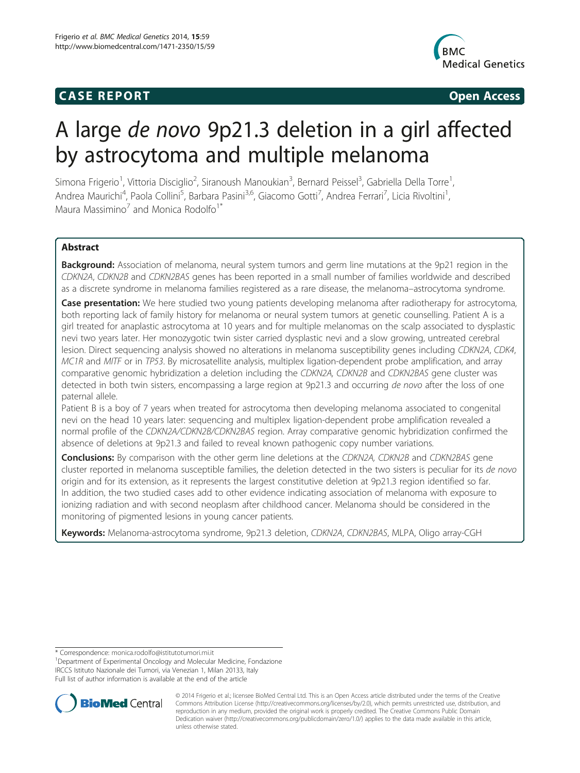# **CASE REPORT CASE REPORT**



# A large de novo 9p21.3 deletion in a girl affected by astrocytoma and multiple melanoma

Simona Frigerio<sup>1</sup>, Vittoria Disciglio<sup>2</sup>, Siranoush Manoukian<sup>3</sup>, Bernard Peissel<sup>3</sup>, Gabriella Della Torre<sup>1</sup> , Andrea Maurichi<sup>4</sup>, Paola Collini<sup>5</sup>, Barbara Pasini<sup>3,6</sup>, Giacomo Gotti<sup>7</sup>, Andrea Ferrari<sup>7</sup>, Licia Rivoltini<sup>1</sup> , Maura Massimino<sup>7</sup> and Monica Rodolfo<sup>1\*</sup>

# Abstract

**Background:** Association of melanoma, neural system tumors and germ line mutations at the 9p21 region in the CDKN2A, CDKN2B and CDKN2BAS genes has been reported in a small number of families worldwide and described as a discrete syndrome in melanoma families registered as a rare disease, the melanoma–astrocytoma syndrome.

**Case presentation:** We here studied two young patients developing melanoma after radiotherapy for astrocytoma, both reporting lack of family history for melanoma or neural system tumors at genetic counselling. Patient A is a girl treated for anaplastic astrocytoma at 10 years and for multiple melanomas on the scalp associated to dysplastic nevi two years later. Her monozygotic twin sister carried dysplastic nevi and a slow growing, untreated cerebral lesion. Direct sequencing analysis showed no alterations in melanoma susceptibility genes including CDKN2A, CDK4, MC1R and MITF or in TP53. By microsatellite analysis, multiplex ligation-dependent probe amplification, and array comparative genomic hybridization a deletion including the CDKN2A, CDKN2B and CDKN2BAS gene cluster was detected in both twin sisters, encompassing a large region at 9p21.3 and occurring de novo after the loss of one paternal allele.

Patient B is a boy of 7 years when treated for astrocytoma then developing melanoma associated to congenital nevi on the head 10 years later: sequencing and multiplex ligation-dependent probe amplification revealed a normal profile of the CDKN2A/CDKN2B/CDKN2BAS region. Array comparative genomic hybridization confirmed the absence of deletions at 9p21.3 and failed to reveal known pathogenic copy number variations.

**Conclusions:** By comparison with the other germ line deletions at the CDKN2A, CDKN2B and CDKN2BAS gene cluster reported in melanoma susceptible families, the deletion detected in the two sisters is peculiar for its de novo origin and for its extension, as it represents the largest constitutive deletion at 9p21.3 region identified so far. In addition, the two studied cases add to other evidence indicating association of melanoma with exposure to ionizing radiation and with second neoplasm after childhood cancer. Melanoma should be considered in the monitoring of pigmented lesions in young cancer patients.

Keywords: Melanoma-astrocytoma syndrome, 9p21.3 deletion, CDKN2A, CDKN2BAS, MLPA, Oligo array-CGH

\* Correspondence: [monica.rodolfo@istitutotumori.mi.it](mailto:monica.rodolfo@istitutotumori.mi.it) <sup>1</sup>

<sup>1</sup>Department of Experimental Oncology and Molecular Medicine, Fondazione IRCCS Istituto Nazionale dei Tumori, via Venezian 1, Milan 20133, Italy Full list of author information is available at the end of the article



© 2014 Frigerio et al.; licensee BioMed Central Ltd. This is an Open Access article distributed under the terms of the Creative Commons Attribution License [\(http://creativecommons.org/licenses/by/2.0\)](http://creativecommons.org/licenses/by/2.0), which permits unrestricted use, distribution, and reproduction in any medium, provided the original work is properly credited. The Creative Commons Public Domain Dedication waiver [\(http://creativecommons.org/publicdomain/zero/1.0/](http://creativecommons.org/publicdomain/zero/1.0/)) applies to the data made available in this article, unless otherwise stated.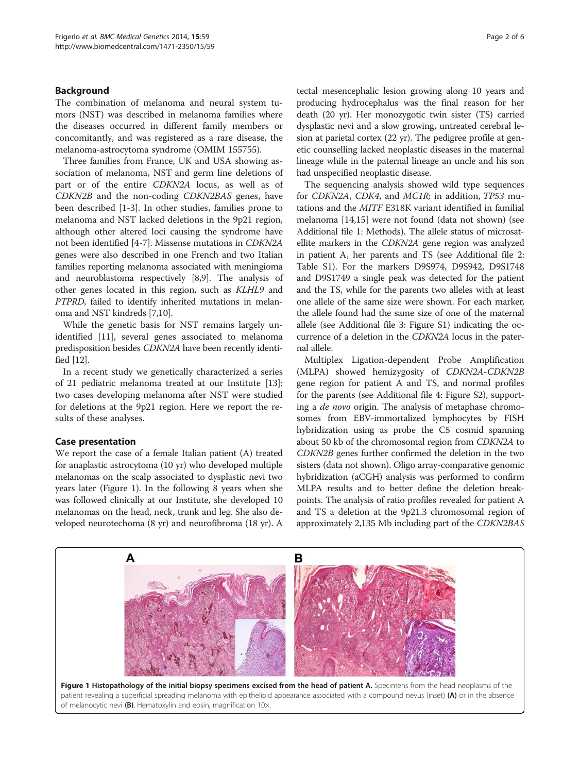# Background

The combination of melanoma and neural system tumors (NST) was described in melanoma families where the diseases occurred in different family members or concomitantly, and was registered as a rare disease, the melanoma-astrocytoma syndrome (OMIM 155755).

Three families from France, UK and USA showing association of melanoma, NST and germ line deletions of part or of the entire CDKN2A locus, as well as of CDKN2B and the non-coding CDKN2BAS genes, have been described [\[1](#page-4-0)-[3\]](#page-4-0). In other studies, families prone to melanoma and NST lacked deletions in the 9p21 region, although other altered loci causing the syndrome have not been identified [\[4-7](#page-4-0)]. Missense mutations in CDKN2A genes were also described in one French and two Italian families reporting melanoma associated with meningioma and neuroblastoma respectively [\[8,9\]](#page-4-0). The analysis of other genes located in this region, such as KLHL9 and PTPRD, failed to identify inherited mutations in melanoma and NST kindreds [[7,10](#page-4-0)].

While the genetic basis for NST remains largely unidentified [[11\]](#page-4-0), several genes associated to melanoma predisposition besides CDKN2A have been recently identified [\[12\]](#page-4-0).

In a recent study we genetically characterized a series of 21 pediatric melanoma treated at our Institute [\[13](#page-4-0)]: two cases developing melanoma after NST were studied for deletions at the 9p21 region. Here we report the results of these analyses.

# Case presentation

We report the case of a female Italian patient (A) treated for anaplastic astrocytoma (10 yr) who developed multiple melanomas on the scalp associated to dysplastic nevi two years later (Figure 1). In the following 8 years when she was followed clinically at our Institute, she developed 10 melanomas on the head, neck, trunk and leg. She also developed neurotechoma (8 yr) and neurofibroma (18 yr). A tectal mesencephalic lesion growing along 10 years and producing hydrocephalus was the final reason for her death (20 yr). Her monozygotic twin sister (TS) carried dysplastic nevi and a slow growing, untreated cerebral lesion at parietal cortex (22 yr). The pedigree profile at genetic counselling lacked neoplastic diseases in the maternal lineage while in the paternal lineage an uncle and his son had unspecified neoplastic disease.

The sequencing analysis showed wild type sequences for CDKN2A, CDK4, and MC1R; in addition, TP53 mutations and the MITF E318K variant identified in familial melanoma [[14,15\]](#page-4-0) were not found (data not shown) (see Additional file [1:](#page-3-0) Methods). The allele status of microsatellite markers in the CDKN2A gene region was analyzed in patient A, her parents and TS (see Additional file [2](#page-3-0): Table S1). For the markers D9S974, D9S942, D9S1748 and D9S1749 a single peak was detected for the patient and the TS, while for the parents two alleles with at least one allele of the same size were shown. For each marker, the allele found had the same size of one of the maternal allele (see Additional file [3:](#page-3-0) Figure S1) indicating the occurrence of a deletion in the CDKN2A locus in the paternal allele.

Multiplex Ligation-dependent Probe Amplification (MLPA) showed hemizygosity of CDKN2A-CDKN2B gene region for patient A and TS, and normal profiles for the parents (see Additional file [4](#page-3-0): Figure S2), supporting a de novo origin. The analysis of metaphase chromosomes from EBV-immortalized lymphocytes by FISH hybridization using as probe the C5 cosmid spanning about 50 kb of the chromosomal region from CDKN2A to CDKN2B genes further confirmed the deletion in the two sisters (data not shown). Oligo array-comparative genomic hybridization (aCGH) analysis was performed to confirm MLPA results and to better define the deletion breakpoints. The analysis of ratio profiles revealed for patient A and TS a deletion at the 9p21.3 chromosomal region of approximately 2,135 Mb including part of the CDKN2BAS

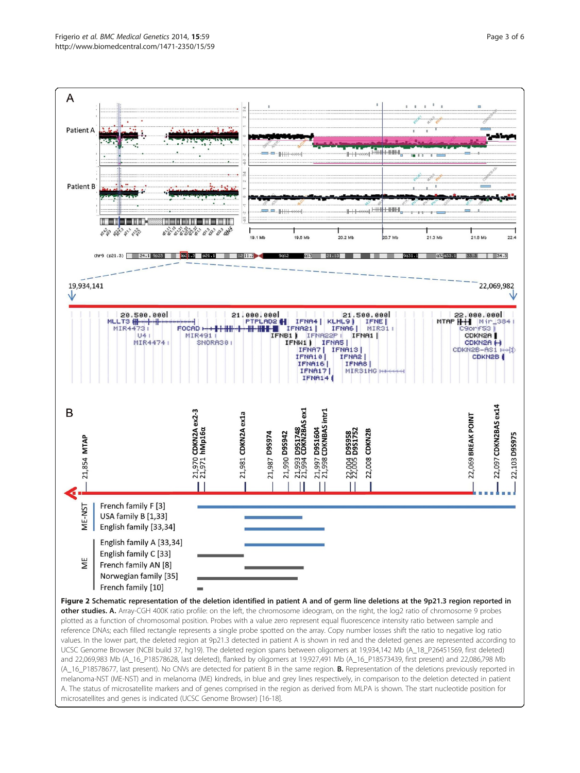<span id="page-2-0"></span>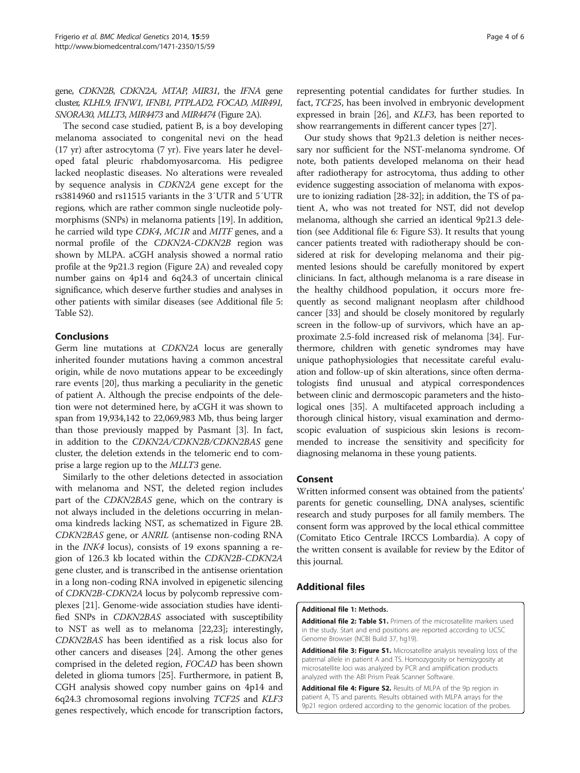<span id="page-3-0"></span>gene, CDKN2B, CDKN2A, MTAP, MIR31, the IFNA gene cluster, KLHL9, IFNW1, IFNB1, PTPLAD2, FOCAD, MIR491, SNORA30, MLLT3, MIR4473 and MIR4474 (Figure [2](#page-2-0)A).

The second case studied, patient B, is a boy developing melanoma associated to congenital nevi on the head (17 yr) after astrocytoma (7 yr). Five years later he developed fatal pleuric rhabdomyosarcoma. His pedigree lacked neoplastic diseases. No alterations were revealed by sequence analysis in CDKN2A gene except for the rs3814960 and rs11515 variants in the 3′UTR and 5′UTR regions, which are rather common single nucleotide polymorphisms (SNPs) in melanoma patients [[19](#page-5-0)]. In addition, he carried wild type CDK4, MC1R and MITF genes, and a normal profile of the CDKN2A-CDKN2B region was shown by MLPA. aCGH analysis showed a normal ratio profile at the 9p21.3 region (Figure [2](#page-2-0)A) and revealed copy number gains on 4p14 and 6q24.3 of uncertain clinical significance, which deserve further studies and analyses in other patients with similar diseases (see Additional file [5](#page-4-0): Table S2).

# Conclusions

Germ line mutations at CDKN2A locus are generally inherited founder mutations having a common ancestral origin, while de novo mutations appear to be exceedingly rare events [\[20](#page-5-0)], thus marking a peculiarity in the genetic of patient A. Although the precise endpoints of the deletion were not determined here, by aCGH it was shown to span from 19,934,142 to 22,069,983 Mb, thus being larger than those previously mapped by Pasmant [\[3](#page-4-0)]. In fact, in addition to the CDKN2A/CDKN2B/CDKN2BAS gene cluster, the deletion extends in the telomeric end to comprise a large region up to the MLLT3 gene.

Similarly to the other deletions detected in association with melanoma and NST, the deleted region includes part of the CDKN2BAS gene, which on the contrary is not always included in the deletions occurring in melanoma kindreds lacking NST, as schematized in Figure [2B](#page-2-0). CDKN2BAS gene, or ANRIL (antisense non-coding RNA in the INK4 locus), consists of 19 exons spanning a region of 126.3 kb located within the CDKN2B-CDKN2A gene cluster, and is transcribed in the antisense orientation in a long non-coding RNA involved in epigenetic silencing of CDKN2B-CDKN2A locus by polycomb repressive complexes [[21](#page-5-0)]. Genome-wide association studies have identified SNPs in CDKN2BAS associated with susceptibility to NST as well as to melanoma [\[22,23\]](#page-5-0); interestingly, CDKN2BAS has been identified as a risk locus also for other cancers and diseases [\[24](#page-5-0)]. Among the other genes comprised in the deleted region, FOCAD has been shown deleted in glioma tumors [[25](#page-5-0)]. Furthermore, in patient B, CGH analysis showed copy number gains on 4p14 and 6q24.3 chromosomal regions involving TCF25 and KLF3 genes respectively, which encode for transcription factors,

representing potential candidates for further studies. In fact, TCF25, has been involved in embryonic development expressed in brain [\[26\]](#page-5-0), and KLF3, has been reported to show rearrangements in different cancer types [\[27\]](#page-5-0).

Our study shows that 9p21.3 deletion is neither necessary nor sufficient for the NST-melanoma syndrome. Of note, both patients developed melanoma on their head after radiotherapy for astrocytoma, thus adding to other evidence suggesting association of melanoma with exposure to ionizing radiation [\[28](#page-5-0)-[32](#page-5-0)]; in addition, the TS of patient A, who was not treated for NST, did not develop melanoma, although she carried an identical 9p21.3 deletion (see Additional file [6:](#page-4-0) Figure S3). It results that young cancer patients treated with radiotherapy should be considered at risk for developing melanoma and their pigmented lesions should be carefully monitored by expert clinicians. In fact, although melanoma is a rare disease in the healthy childhood population, it occurs more frequently as second malignant neoplasm after childhood cancer [\[33](#page-5-0)] and should be closely monitored by regularly screen in the follow-up of survivors, which have an approximate 2.5-fold increased risk of melanoma [[34\]](#page-5-0). Furthermore, children with genetic syndromes may have unique pathophysiologies that necessitate careful evaluation and follow-up of skin alterations, since often dermatologists find unusual and atypical correspondences between clinic and dermoscopic parameters and the histological ones [\[35\]](#page-5-0). A multifaceted approach including a thorough clinical history, visual examination and dermoscopic evaluation of suspicious skin lesions is recommended to increase the sensitivity and specificity for diagnosing melanoma in these young patients.

### Consent

Written informed consent was obtained from the patients' parents for genetic counselling, DNA analyses, scientific research and study purposes for all family members. The consent form was approved by the local ethical committee (Comitato Etico Centrale IRCCS Lombardia). A copy of the written consent is available for review by the Editor of this journal.

# Additional files

#### [Additional file 1:](http://www.biomedcentral.com/content/supplementary/1471-2350-15-59-S1.pdf) Methods.

[Additional file 2: Table S1.](http://www.biomedcentral.com/content/supplementary/1471-2350-15-59-S2.pdf) Primers of the microsatellite markers used in the study. Start and end positions are reported according to UCSC Genome Browser (NCBI Build 37, hg19).

[Additional file 3: Figure S1.](http://www.biomedcentral.com/content/supplementary/1471-2350-15-59-S3.pdf) Microsatellite analysis revealing loss of the paternal allele in patient A and TS. Homozygosity or hemizygosity at microsatellite loci was analyzed by PCR and amplification products analyzed with the ABI Prism Peak Scanner Software.

[Additional file 4: Figure S2.](http://www.biomedcentral.com/content/supplementary/1471-2350-15-59-S4.pdf) Results of MLPA of the 9p region in patient A, TS and parents. Results obtained with MLPA arrays for the 9p21 region ordered according to the genomic location of the probes.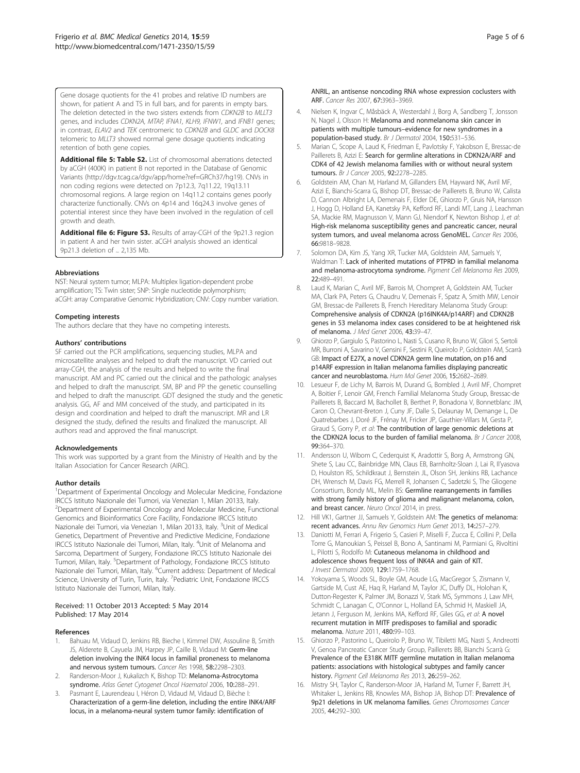<span id="page-4-0"></span>Gene dosage quotients for the 41 probes and relative ID numbers are shown, for patient A and TS in full bars, and for parents in empty bars. The deletion detected in the two sisters extends from CDKN2B to MLLT3 genes, and includes CDKN2A, MTAP, IFNA1, KLH9, IFNW1, and IFNB1 genes; in contrast, ELAV2 and TEK centromeric to CDKN2B and GLDC and DOCK8 telomeric to MLLT3 showed normal gene dosage quotients indicating retention of both gene copies.

[Additional file 5: Table S2.](http://www.biomedcentral.com/content/supplementary/1471-2350-15-59-S5.pdf) List of chromosomal aberrations detected by aCGH (400K) in patient B not reported in the Database of Genomic Variants [\(http://dgv.tcag.ca/dgv/app/home?ref=GRCh37/hg19](http://dgv.tcag.ca/dgv/app/home?ref=GRCh37/hg19)). CNVs in non coding regions were detected on 7p12.3, 7q11.22, 19q13.11 chromosomal regions. A large region on 14q11.2 contains genes poorly characterize functionally. CNVs on 4p14 and 16q24.3 involve genes of potential interest since they have been involved in the regulation of cell growth and death.

[Additional file 6: Figure S3.](http://www.biomedcentral.com/content/supplementary/1471-2350-15-59-S6.pdf) Results of array-CGH of the 9p21.3 region in patient A and her twin sister. aCGH analysis showed an identical 9p21.3 deletion of  $\sim$  2,135 Mb.

#### Abbreviations

NST: Neural system tumor; MLPA: Multiplex ligation-dependent probe amplification; TS: Twin sister; SNP: Single nucleotide polymorphism; aCGH: array Comparative Genomic Hybridization; CNV: Copy number variation.

#### Competing interests

The authors declare that they have no competing interests.

#### Authors' contributions

SF carried out the PCR amplifications, sequencing studies, MLPA and microsatellite analyses and helped to draft the manuscript. VD carried out array-CGH, the analysis of the results and helped to write the final manuscript. AM and PC carried out the clinical and the pathologic analyses and helped to draft the manuscript. SM, BP and PP the genetic counselling and helped to draft the manuscript. GDT designed the study and the genetic analysis. GG, AF and MM conceived of the study, and participated in its design and coordination and helped to draft the manuscript. MR and LR designed the study, defined the results and finalized the manuscript. All authors read and approved the final manuscript.

#### Acknowledgements

This work was supported by a grant from the Ministry of Health and by the Italian Association for Cancer Research (AIRC).

#### Author details

<sup>1</sup>Department of Experimental Oncology and Molecular Medicine, Fondazione IRCCS Istituto Nazionale dei Tumori, via Venezian 1, Milan 20133, Italy. 2 Department of Experimental Oncology and Molecular Medicine, Functional Genomics and Bioinformatics Core Facility, Fondazione IRCCS Istituto Nazionale dei Tumori, via Venezian 1, Milan 20133, Italy. <sup>3</sup>Unit of Medical Genetics, Department of Preventive and Predictive Medicine, Fondazione IRCCS Istituto Nazionale dei Tumori, Milan, Italy. <sup>4</sup>Unit of Melanoma and Sarcoma, Department of Surgery, Fondazione IRCCS Istituto Nazionale dei Tumori, Milan, Italy. <sup>5</sup>Department of Pathology, Fondazione IRCCS Istituto Nazionale dei Tumori, Milan, Italy. <sup>6</sup>Current address: Department of Medical Science, University of Turin, Turin, Italy. <sup>7</sup>Pediatric Unit, Fondazione IRCCS Istituto Nazionale dei Tumori, Milan, Italy.

#### Received: 11 October 2013 Accepted: 5 May 2014 Published: 17 May 2014

#### References

- 1. Bahuau M, Vidaud D, Jenkins RB, Bieche I, Kimmel DW, Assouline B, Smith JS, Alderete B, Cayuela JM, Harpey JP, Caille B, Vidaud M: Germ-line deletion involving the INK4 locus in familial proneness to melanoma and nervous system tumours. Cancer Res 1998, 58:2298–2303.
- 2. Randerson-Moor J, Kukalizch K, Bishop TD: Melanoma-Astrocytoma syndrome. Atlas Genet Cytogenet Oncol Haematol 2006, 10:288–291.
- 3. Pasmant E, Laurendeau I, Héron D, Vidaud M, Vidaud D, Bièche I: Characterization of a germ-line deletion, including the entire INK4/ARF locus, in a melanoma-neural system tumor family: identification of
- 4. Nielsen K, Ingvar C, Måsbäck A, Westerdahl J, Borg A, Sandberg T, Jonsson N, Nagel J, Olsson H: Melanoma and nonmelanoma skin cancer in patients with multiple tumours–evidence for new syndromes in a population-based study. Br J Dermatol 2004, 150:531–536.
- 5. Marian C, Scope A, Laud K, Friedman E, Pavlotsky F, Yakobson E, Bressac-de Paillerets B, Azizi E: Search for germline alterations in CDKN2A/ARF and CDK4 of 42 Jewish melanoma families with or without neural system tumours. Br J Cancer 2005, 92:2278–2285.
- 6. Goldstein AM, Chan M, Harland M, Gillanders EM, Hayward NK, Avril MF, Azizi E, Bianchi-Scarra G, Bishop DT, Bressac-de Paillerets B, Bruno W, Calista D, Cannon Albright LA, Demenais F, Elder DE, Ghiorzo P, Gruis NA, Hansson J, Hogg D, Holland EA, Kanetsky PA, Kefford RF, Landi MT, Lang J, Leachman SA, Mackie RM, Magnusson V, Mann GJ, Niendorf K, Newton Bishop J, et al: High-risk melanoma susceptibility genes and pancreatic cancer, neural system tumors, and uveal melanoma across GenoMEL. Cancer Res 2006, 66:9818–9828.
- 7. Solomon DA, Kim JS, Yang XR, Tucker MA, Goldstein AM, Samuels Y, Waldman T: Lack of inherited mutations of PTPRD in familial melanoma and melanoma-astrocytoma syndrome. Pigment Cell Melanoma Res 2009, 22:489–491.
- 8. Laud K, Marian C, Avril MF, Barrois M, Chompret A, Goldstein AM, Tucker MA, Clark PA, Peters G, Chaudru V, Demenais F, Spatz A, Smith MW, Lenoir GM, Bressac-de Paillerets B, French Hereditary Melanoma Study Group: Comprehensive analysis of CDKN2A (p16INK4A/p14ARF) and CDKN2B genes in 53 melanoma index cases considered to be at heightened risk of melanoma. J Med Genet 2006, 43:39–47.
- 9. Ghiorzo P, Gargiulo S, Pastorino L, Nasti S, Cusano R, Bruno W, Gliori S, Sertoli MR, Burroni A, Savarino V, Gensini F, Sestini R, Queirolo P, Goldstein AM, Scarrà GB: Impact of E27X, a novel CDKN2A germ line mutation, on p16 and p14ARF expression in Italian melanoma families displaying pancreatic cancer and neuroblastoma. Hum Mol Genet 2006, 15:2682-2689
- 10. Lesueur F, de Lichy M, Barrois M, Durand G, Bombled J, Avril MF, Chompret A, Boitier F, Lenoir GM, French Familial Melanoma Study Group, Bressac-de Paillerets B, Baccard M, Bachollet B, Berthet P, Bonadona V, Bonnetblanc JM, Caron O, Chevrant-Breton J, Cuny JF, Dalle S, Delaunay M, Demange L, De Quatrebarbes J, Doré JF, Frénay M, Fricker JP, Gauthier-Villars M, Gesta P, Giraud S, Gorry P, et al: The contribution of large genomic deletions at the CDKN2A locus to the burden of familial melanoma. Br J Cancer 2008, 99:364–370.
- 11. Andersson U, Wibom C, Cederquist K, Aradottir S, Borg A, Armstrong GN, Shete S, Lau CC, Bainbridge MN, Claus EB, Barnholtz-Sloan J, Lai R, Il'yasova D, Houlston RS, Schildkraut J, Bernstein JL, Olson SH, Jenkins RB, Lachance DH, Wrensch M, Davis FG, Merrell R, Johansen C, Sadetzki S, The Gliogene Consortium, Bondy ML, Melin BS: Germline rearrangements in families with strong family history of glioma and malignant melanoma, colon, and breast cancer. Neuro Oncol 2014, in press.
- 12. Hill VK1, Gartner JJ, Samuels Y, Goldstein AM: The genetics of melanoma: recent advances. Annu Rev Genomics Hum Genet 2013, 14:257–279.
- 13. Daniotti M, Ferrari A, Frigerio S, Casieri P, Miselli F, Zucca E, Collini P, Della Torre G, Manoukian S, Peissel B, Bono A, Santinami M, Parmiani G, Rivoltini L, Pilotti S, Rodolfo M: Cutaneous melanoma in childhood and adolescence shows frequent loss of INK4A and gain of KIT. J Invest Dermatol 2009, 129:1759–1768.
- 14. Yokoyama S, Woods SL, Boyle GM, Aoude LG, MacGregor S, Zismann V, Gartside M, Cust AE, Haq R, Harland M, Taylor JC, Duffy DL, Holohan K, Dutton-Regester K, Palmer JM, Bonazzi V, Stark MS, Symmons J, Law MH, Schmidt C, Lanagan C, O'Connor L, Holland EA, Schmid H, Maskiell JA, Jetann J, Ferguson M, Jenkins MA, Kefford RF, Giles GG, et al: A novel recurrent mutation in MITF predisposes to familial and sporadic melanoma. Nature 2011, 480:99–103.
- 15. Ghiorzo P, Pastorino L, Queirolo P, Bruno W, Tibiletti MG, Nasti S, Andreotti V, Genoa Pancreatic Cancer Study Group, Paillerets BB, Bianchi Scarrà G: Prevalence of the E318K MITF germline mutation in Italian melanoma patients: associations with histological subtypes and family cancer .<br>**history.** Pigment Cell Melanoma Res 2013, **26:**259–262.
- 16. Mistry SH, Taylor C, Randerson-Moor JA, Harland M, Turner F, Barrett JH, Whitaker L, Jenkins RB, Knowles MA, Bishop JA, Bishop DT: Prevalence of 9p21 deletions in UK melanoma families. Genes Chromosomes Cancer 2005, 44:292–300.